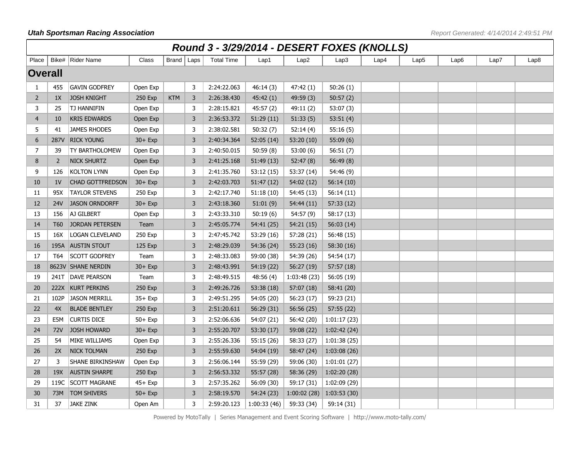|                | Round 3 - 3/29/2014 - DESERT FOXES (KNOLLS) |                         |            |              |   |                   |             |                  |              |      |                  |                  |      |      |
|----------------|---------------------------------------------|-------------------------|------------|--------------|---|-------------------|-------------|------------------|--------------|------|------------------|------------------|------|------|
| Place          |                                             | Bike#   Rider Name      | Class      | Brand   Laps |   | <b>Total Time</b> | Lap1        | Lap <sub>2</sub> | Lap3         | Lap4 | Lap <sub>5</sub> | Lap <sub>6</sub> | Lap7 | Lap8 |
| <b>Overall</b> |                                             |                         |            |              |   |                   |             |                  |              |      |                  |                  |      |      |
| 1              | 455                                         | <b>GAVIN GODFREY</b>    | Open Exp   |              | 3 | 2:24:22.063       | 46:14 (3)   | 47:42 (1)        | 50:26(1)     |      |                  |                  |      |      |
| $\overline{2}$ | 1X                                          | <b>JOSH KNIGHT</b>      | 250 Exp    | <b>KTM</b>   | 3 | 2:26:38.430       | 45:42(1)    | 49:59 (3)        | 50:57(2)     |      |                  |                  |      |      |
| 3              | 25                                          | TJ HANNIFIN             | Open Exp   |              | 3 | 2:28:15.821       | 45:57(2)    | 49:11 (2)        | 53:07(3)     |      |                  |                  |      |      |
| $\overline{4}$ | 10                                          | <b>KRIS EDWARDS</b>     | Open Exp   |              | 3 | 2:36:53.372       | 51:29(11)   | 51:33(5)         | 53:51(4)     |      |                  |                  |      |      |
| 5              | 41                                          | <b>JAMES RHODES</b>     | Open Exp   |              | 3 | 2:38:02.581       | 50:32(7)    | 52:14(4)         | 55:16(5)     |      |                  |                  |      |      |
| 6              | 287V                                        | <b>RICK YOUNG</b>       | $30 + Exp$ |              | 3 | 2:40:34.364       | 52:05(14)   | 53:20 (10)       | 55:09 (6)    |      |                  |                  |      |      |
| $\overline{7}$ | 39                                          | TY BARTHOLOMEW          | Open Exp   |              | 3 | 2:40:50.015       | 50:59(8)    | 53:00(6)         | 56:51(7)     |      |                  |                  |      |      |
| 8              | $\overline{2}$                              | <b>NICK SHURTZ</b>      | Open Exp   |              | 3 | 2:41:25.168       | 51:49(13)   | 52:47(8)         | 56:49(8)     |      |                  |                  |      |      |
| 9              | 126                                         | <b>KOLTON LYNN</b>      | Open Exp   |              | 3 | 2:41:35.760       | 53:12(15)   | 53:37 (14)       | 54:46 (9)    |      |                  |                  |      |      |
| 10             | 1 <sup>V</sup>                              | <b>CHAD GOTTFREDSON</b> | $30 + Exp$ |              | 3 | 2:42:03.703       | 51:47(12)   | 54:02 (12)       | 56:14(10)    |      |                  |                  |      |      |
| 11             | 95X                                         | <b>TAYLOR STEVENS</b>   | 250 Exp    |              | 3 | 2:42:17.740       | 51:18(10)   | 54:45 (13)       | 56:14 (11)   |      |                  |                  |      |      |
| 12             | 24V                                         | <b>JASON ORNDORFF</b>   | $30 + Exp$ |              | 3 | 2:43:18.360       | 51:01(9)    | 54:44 (11)       | 57:33 (12)   |      |                  |                  |      |      |
| 13             | 156                                         | AJ GILBERT              | Open Exp   |              | 3 | 2:43:33.310       | 50:19(6)    | 54:57 (9)        | 58:17 (13)   |      |                  |                  |      |      |
| 14             | T <sub>60</sub>                             | <b>JORDAN PETERSEN</b>  | Team       |              | 3 | 2:45:05.774       | 54:41 (25)  | 54:21 (15)       | 56:03(14)    |      |                  |                  |      |      |
| 15             | 16X                                         | <b>LOGAN CLEVELAND</b>  | 250 Exp    |              | 3 | 2:47:45.742       | 53:29 (16)  | 57:28 (21)       | 56:48 (15)   |      |                  |                  |      |      |
| 16             |                                             | 195A AUSTIN STOUT       | 125 Exp    |              | 3 | 2:48:29.039       | 54:36 (24)  | 55:23(16)        | 58:30 (16)   |      |                  |                  |      |      |
| 17             | T <sub>64</sub>                             | <b>SCOTT GODFREY</b>    | Team       |              | 3 | 2:48:33.083       | 59:00 (38)  | 54:39 (26)       | 54:54 (17)   |      |                  |                  |      |      |
| 18             |                                             | 8623V SHANE NERDIN      | $30 + Exp$ |              | 3 | 2:48:43.991       | 54:19 (22)  | 56:27 (19)       | 57:57 (18)   |      |                  |                  |      |      |
| 19             | 241T                                        | DAVE PEARSON            | Team       |              | 3 | 2:48:49.515       | 48:56 (4)   | 1:03:48 (23)     | 56:05 (19)   |      |                  |                  |      |      |
| 20             | 222X                                        | <b>KURT PERKINS</b>     | 250 Exp    |              | 3 | 2:49:26.726       | 53:38 (18)  | 57:07 (18)       | 58:41 (20)   |      |                  |                  |      |      |
| 21             | 102P                                        | <b>JASON MERRILL</b>    | $35+$ Exp  |              | 3 | 2:49:51.295       | 54:05 (20)  | 56:23 (17)       | 59:23 (21)   |      |                  |                  |      |      |
| 22             | 4X                                          | <b>BLADE BENTLEY</b>    | 250 Exp    |              | 3 | 2:51:20.611       | 56:29 (31)  | 56:56(25)        | 57:55 (22)   |      |                  |                  |      |      |
| 23             | E5M                                         | <b>CURTIS DICE</b>      | $50+$ Exp  |              | 3 | 2:52:06.636       | 54:07 (21)  | 56:42 (20)       | 1:01:17(23)  |      |                  |                  |      |      |
| 24             | 72V                                         | JOSH HOWARD             | $30 + Exp$ |              | 3 | 2:55:20.707       | 53:30(17)   | 59:08 (22)       | 1:02:42 (24) |      |                  |                  |      |      |
| 25             | 54                                          | MIKE WILLIAMS           | Open Exp   |              | 3 | 2:55:26.336       | 55:15 (26)  | 58:33 (27)       | 1:01:38(25)  |      |                  |                  |      |      |
| 26             | 2X                                          | <b>NICK TOLMAN</b>      | 250 Exp    |              | 3 | 2:55:59.630       | 54:04 (19)  | 58:47 (24)       | 1:03:08(26)  |      |                  |                  |      |      |
| 27             | 3                                           | SHANE BIRKINSHAW        | Open Exp   |              | 3 | 2:56:06.144       | 55:59 (29)  | 59:06 (30)       | 1:01:01(27)  |      |                  |                  |      |      |
| 28             | 19X                                         | <b>AUSTIN SHARPE</b>    | 250 Exp    |              | 3 | 2:56:53.332       | 55:57 (28)  | 58:36 (29)       | 1:02:20 (28) |      |                  |                  |      |      |
| 29             | 119C                                        | <b>SCOTT MAGRANE</b>    | $45+$ Exp  |              | 3 | 2:57:35.262       | 56:09 (30)  | 59:17 (31)       | 1:02:09 (29) |      |                  |                  |      |      |
| 30             | 73M                                         | TOM SHIVERS             | $50+$ Exp  |              | 3 | 2:58:19.570       | 54:24 (23)  | 1:00:02(28)      | 1:03:53(30)  |      |                  |                  |      |      |
| 31             | 37                                          | <b>JAKE ZINK</b>        | Open Am    |              | 3 | 2:59:20.123       | 1:00:33(46) | 59:33 (34)       | 59:14 (31)   |      |                  |                  |      |      |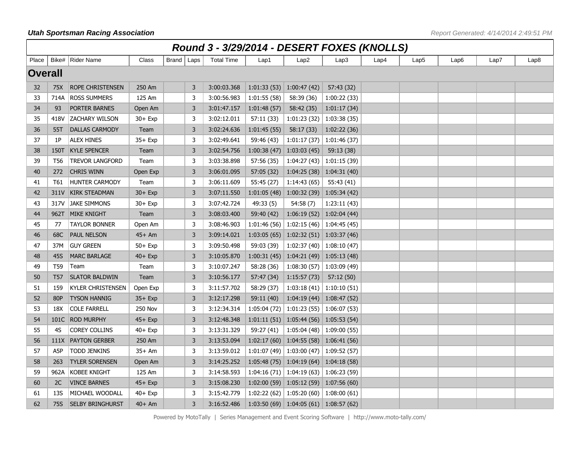|                | Round 3 - 3/29/2014 - DESERT FOXES (KNOLLS) |                          |                |              |   |                   |             |                                               |             |      |                  |      |      |                  |
|----------------|---------------------------------------------|--------------------------|----------------|--------------|---|-------------------|-------------|-----------------------------------------------|-------------|------|------------------|------|------|------------------|
| Place          |                                             | Bike#   Rider Name       | Class          | Brand   Laps |   | <b>Total Time</b> | Lap1        | Lap <sub>2</sub>                              | Lap3        | Lap4 | Lap <sub>5</sub> | Lap6 | Lap7 | Lap <sub>8</sub> |
| <b>Overall</b> |                                             |                          |                |              |   |                   |             |                                               |             |      |                  |      |      |                  |
| 32             | 75X                                         | ROPE CHRISTENSEN         | 250 Am         |              | 3 | 3:00:03.368       | 1:01:33(53) | 1:00:47(42)                                   | 57:43 (32)  |      |                  |      |      |                  |
| 33             | 714A                                        | <b>ROSS SUMMERS</b>      | 125 Am         |              | 3 | 3:00:56.983       | 1:01:55(58) | 58:39 (36)                                    | 1:00:22(33) |      |                  |      |      |                  |
| 34             | 93                                          | PORTER BARNES            | Open Am        |              | 3 | 3:01:47.157       | 1:01:48(57) | 58:42 (35)                                    | 1:01:17(34) |      |                  |      |      |                  |
| 35             | 418V                                        | <b>ZACHARY WILSON</b>    | 30+ Exp        |              | 3 | 3:02:12.011       | 57:11 (33)  | $1:01:23(32)$ 1:03:38 (35)                    |             |      |                  |      |      |                  |
| 36             | 55T                                         | <b>DALLAS CARMODY</b>    | Team           |              | 3 | 3:02:24.636       | 1:01:45(55) | 58:17 (33)                                    | 1:02:22(36) |      |                  |      |      |                  |
| 37             | 1P                                          | <b>ALEX HINES</b>        | $35+$ Exp      |              | 3 | 3:02:49.641       | 59:46 (43)  | $1:01:17(37)$ 1:01:46(37)                     |             |      |                  |      |      |                  |
| 38             | 150T                                        | <b>KYLE SPENCER</b>      | Team           |              | 3 | 3:02:54.756       | 1:00:38(47) | 1:03:03(45)                                   | 59:13 (38)  |      |                  |      |      |                  |
| 39             | T56                                         | <b>TREVOR LANGFORD</b>   | Team           |              | 3 | 3:03:38.898       | 57:56 (35)  | $1:04:27(43)$ 1:01:15 (39)                    |             |      |                  |      |      |                  |
| 40             | 272                                         | <b>CHRIS WINN</b>        | Open Exp       |              | 3 | 3:06:01.095       | 57:05(32)   | $1:04:25(38)$ 1:04:31 (40)                    |             |      |                  |      |      |                  |
| 41             | T61                                         | <b>HUNTER CARMODY</b>    | Team           |              | 3 | 3:06:11.609       | 55:45 (27)  | 1:14:43(65)                                   | 55:43 (41)  |      |                  |      |      |                  |
| 42             | 311V                                        | <b>KIRK STEADMAN</b>     | $30 + Exp$     |              | 3 | 3:07:11.550       |             | $1:01:05(48)$ 1:00:32 (39) 1:05:34 (42)       |             |      |                  |      |      |                  |
| 43             | 317V                                        | <b>JAKE SIMMONS</b>      | $30 + Exp$     |              | 3 | 3:07:42.724       | 49:33 (5)   | 54:58(7)                                      | 1:23:11(43) |      |                  |      |      |                  |
| 44             | 962T                                        | <b>MIKE KNIGHT</b>       | Team           |              | 3 | 3:08:03.400       | 59:40 (42)  | $1:06:19(52)$ 1:02:04 (44)                    |             |      |                  |      |      |                  |
| 45             | 77                                          | <b>TAYLOR BONNER</b>     | Open Am        |              | 3 | 3:08:46.903       | 1:01:46(56) | $\vert$ 1:02:15 (46) $\vert$ 1:04:45 (45)     |             |      |                  |      |      |                  |
| 46             | 68C                                         | PAUL NELSON              | $45+Am$        |              | 3 | 3:09:14.021       |             | $1:03:05(65)$ 1:02:32 (51) 1:03:37 (46)       |             |      |                  |      |      |                  |
| 47             | 37M                                         | <b>GUY GREEN</b>         | $50+$ Exp      |              | 3 | 3:09:50.498       | 59:03 (39)  | $1:02:37(40)$ 1:08:10 (47)                    |             |      |                  |      |      |                  |
| 48             | 45S                                         | <b>MARC BARLAGE</b>      | $40+$ Exp      |              | 3 | 3:10:05.870       | 1:00:31(45) | $\vert$ 1:04:21 (49) 1:05:13 (48)             |             |      |                  |      |      |                  |
| 49             | T59                                         | Team                     | Team           |              | 3 | 3:10:07.247       | 58:28 (36)  | $1:08:30(57)$   1:03:09 (49)                  |             |      |                  |      |      |                  |
| 50             | T <sub>57</sub>                             | <b>SLATOR BALDWIN</b>    | Team           |              | 3 | 3:10:56.177       | 57:47 (34)  | 1:15:57(73)                                   | 57:12 (50)  |      |                  |      |      |                  |
| 51             | 159                                         | <b>KYLER CHRISTENSEN</b> | Open Exp       |              | 3 | 3:11:57.702       | 58:29 (37)  | $1:03:18(41)$ 1:10:10 (51)                    |             |      |                  |      |      |                  |
| 52             | 80P                                         | <b>TYSON HANNIG</b>      | $35+$ Exp      |              | 3 | 3:12:17.298       | 59:11 (40)  | $1:04:19(44)$ 1:08:47 (52)                    |             |      |                  |      |      |                  |
| 53             | 18X                                         | <b>COLE FARRELL</b>      | <b>250 Nov</b> |              | 3 | 3:12:34.314       |             | $1:05:04(72)$   $1:01:23(55)$   $1:06:07(53)$ |             |      |                  |      |      |                  |
| 54             | 101C                                        | <b>ROD MURPHY</b>        | $45+$ Exp      |              | 3 | 3:12:48.348       |             | $1:01:11(51)$ 1:05:44 (56) 1:05:53 (54)       |             |      |                  |      |      |                  |
| 55             | 4S                                          | <b>COREY COLLINS</b>     | 40+ Exp        |              | 3 | 3:13:31.329       | 59:27 (41)  | $1:05:04(48)$   1:09:00 (55)                  |             |      |                  |      |      |                  |
| 56             | 111X                                        | <b>PAYTON GERBER</b>     | 250 Am         |              | 3 | 3:13:53.094       |             | $1:02:17(60)$ 1:04:55 (58) 1:06:41 (56)       |             |      |                  |      |      |                  |
| 57             | A5P                                         | <b>TODD JENKINS</b>      | $35+Am$        |              | 3 | 3:13:59.012       |             | 1:01:07 (49)   1:03:00 (47)   1:09:52 (57)    |             |      |                  |      |      |                  |
| 58             | 263                                         | <b>TYLER SORENSEN</b>    | Open Am        |              | 3 | 3:14:25.252       |             | $1:05:48(75)$ 1:04:19 (64) 1:04:18 (58)       |             |      |                  |      |      |                  |
| 59             | 962A                                        | <b>KOBEE KNIGHT</b>      | 125 Am         |              | 3 | 3:14:58.593       |             | $1:04:16(71)$ 1:04:19 (63) 1:06:23 (59)       |             |      |                  |      |      |                  |
| 60             | 2C                                          | <b>VINCE BARNES</b>      | $45+$ Exp      |              | 3 | 3:15:08.230       |             | $1:02:00(59)$ 1:05:12 (59) 1:07:56 (60)       |             |      |                  |      |      |                  |
| 61             | <b>13S</b>                                  | MICHAEL WOODALL          | $40+$ Exp      |              | 3 | 3:15:42.779       |             | 1:02:22 (62) 1:05:20 (60) 1:08:00 (61)        |             |      |                  |      |      |                  |
| 62             | 75S                                         | <b>SELBY BRINGHURST</b>  | $40+Am$        |              | 3 | 3:16:52.486       |             | $1:03:50(69)$ 1:04:05 (61) 1:08:57 (62)       |             |      |                  |      |      |                  |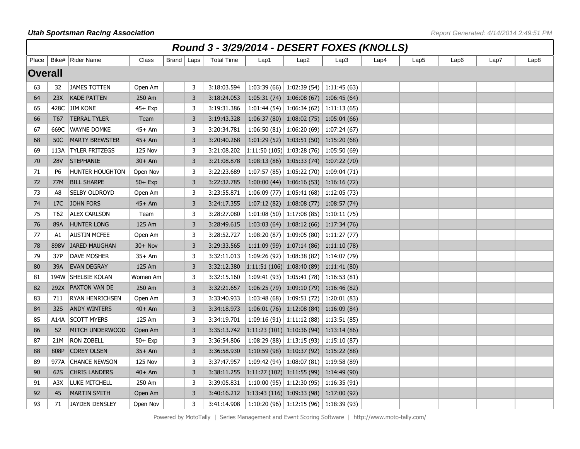|                | Round 3 - 3/29/2014 - DESERT FOXES (KNOLLS) |                        |                |              |                |                   |                                                                   |                                               |      |      |                  |      |      |      |
|----------------|---------------------------------------------|------------------------|----------------|--------------|----------------|-------------------|-------------------------------------------------------------------|-----------------------------------------------|------|------|------------------|------|------|------|
| Place          |                                             | Bike# Rider Name       | Class          | Brand   Laps |                | <b>Total Time</b> | Lap1                                                              | Lap <sub>2</sub>                              | Lap3 | Lap4 | Lap <sub>5</sub> | Lap6 | Lap7 | Lap8 |
| <b>Overall</b> |                                             |                        |                |              |                |                   |                                                                   |                                               |      |      |                  |      |      |      |
| 63             | 32                                          | <b>JAMES TOTTEN</b>    | Open Am        |              | 3              | 3:18:03.594       |                                                                   | $1:03:39(66)$ 1:02:39 (54) 1:11:45 (63)       |      |      |                  |      |      |      |
| 64             | 23X                                         | <b>KADE PATTEN</b>     | 250 Am         |              | $\overline{3}$ | 3:18:24.053       |                                                                   | $1:05:31(74)$ 1:06:08 (67) 1:06:45 (64)       |      |      |                  |      |      |      |
| 65             | 428C                                        | <b>JIM KONE</b>        | $45+$ Exp      |              | 3              | 3:19:31.386       |                                                                   | $1:01:44(54)$ 1:06:34 (62) 1:11:13 (65)       |      |      |                  |      |      |      |
| 66             | T <sub>67</sub>                             | <b>TERRAL TYLER</b>    | Team           |              | 3              | 3:19:43.328       |                                                                   | $1:06:37(80)$   $1:08:02(75)$   $1:05:04(66)$ |      |      |                  |      |      |      |
| 67             | 669C                                        | <b>WAYNE DOMKE</b>     | 45+ Am         |              | 3              | 3:20:34.781       |                                                                   | 1:06:50 (81)   1:06:20 (69)   1:07:24 (67)    |      |      |                  |      |      |      |
| 68             | 50C                                         | <b>MARTY BREWSTER</b>  | 45+ Am         |              | 3              | 3:20:40.268       |                                                                   | $1:01:29(52)$ 1:03:51 (50) 1:15:20 (68)       |      |      |                  |      |      |      |
| 69             | 113A                                        | <b>TYLER FRITZEGS</b>  | <b>125 Nov</b> |              | 3              | 3:21:08.202       | $\vert 1:11:50 \ (105) \vert 1:03:28 \ (76) \vert 1:05:50 \ (69)$ |                                               |      |      |                  |      |      |      |
| 70             | <b>28V</b>                                  | <b>STEPHANIE</b>       | $30+Am$        |              | 3              | 3:21:08.878       |                                                                   | $1:08:13(86)$ 1:05:33 (74) 1:07:22 (70)       |      |      |                  |      |      |      |
| 71             | P <sub>6</sub>                              | <b>HUNTER HOUGHTON</b> | Open Nov       |              | 3              | 3:22:23.689       |                                                                   | $1:07:57(85)$   $1:05:22(70)$   $1:09:04(71)$ |      |      |                  |      |      |      |
| 72             | 77M                                         | <b>BILL SHARPE</b>     | $50+$ Exp      |              | 3              | 3:22:32.785       |                                                                   | $1:00:00(44)$ 1:06:16 (53) 1:16:16 (72)       |      |      |                  |      |      |      |
| 73             | A8                                          | SELBY OLDROYD          | Open Am        |              | 3              | 3:23:55.871       |                                                                   | $1:06:09(77)$ 1:05:41 (68) 1:12:05 (73)       |      |      |                  |      |      |      |
| 74             | 17C                                         | <b>JOHN FORS</b>       | $45+Am$        |              | 3              | 3:24:17.355       |                                                                   | $1:07:12(82)$ 1:08:08 (77) 1:08:57 (74)       |      |      |                  |      |      |      |
| 75             | T <sub>62</sub>                             | <b>ALEX CARLSON</b>    | Team           |              | 3              | 3:28:27.080       |                                                                   | $1:01:08(50)$ 1:17:08 (85) 1:10:11 (75)       |      |      |                  |      |      |      |
| 76             | 89A                                         | <b>HUNTER LONG</b>     | 125 Am         |              | $\overline{3}$ | 3:28:49.615       |                                                                   | 1:03:03 (64) 1:08:12 (66) 1:17:34 (76)        |      |      |                  |      |      |      |
| 77             | A1                                          | <b>AUSTIN MCFEE</b>    | Open Am        |              | 3              | 3:28:52.727       |                                                                   | $1:08:20(87)$ 1:09:05 (80) 1:11:27 (77)       |      |      |                  |      |      |      |
| 78             | 898V                                        | <b>JARED MAUGHAN</b>   | $30 + Nov$     |              | 3              | 3:29:33.565       |                                                                   | $1:11:09(99)$ 1:07:14 (86) 1:11:10 (78)       |      |      |                  |      |      |      |
| 79             | 37P                                         | DAVE MOSHER            | 35+ Am         |              | 3              | 3:32:11.013       |                                                                   | $1:09:26(92)$   $1:08:38(82)$   $1:14:07(79)$ |      |      |                  |      |      |      |
| 80             | 39A                                         | EVAN DEGRAY            | 125 Am         |              | 3              | 3:32:12.380       | $1:11:51(106)$ 1:08:40 (89) 1:11:41 (80)                          |                                               |      |      |                  |      |      |      |
| 81             | 194W                                        | <b>SHELBIE KOLAN</b>   | Women Am       |              | 3              | 3:32:15.160       |                                                                   | 1:09:41 (93)   1:05:41 (78)   1:16:53 (81)    |      |      |                  |      |      |      |
| 82             | 292X                                        | <b>PAXTON VAN DE</b>   | 250 Am         |              | 3              | 3:32:21.657       |                                                                   | $1:06:25(79)$ 1:09:10 (79) 1:16:46 (82)       |      |      |                  |      |      |      |
| 83             | 711                                         | <b>RYAN HENRICHSEN</b> | Open Am        |              | 3              | 3:33:40.933       |                                                                   | 1:03:48 (68)   1:09:51 (72)   1:20:01 (83)    |      |      |                  |      |      |      |
| 84             | 32S                                         | <b>ANDY WINTERS</b>    | $40+Am$        |              | $\overline{3}$ | 3:34:18.973       |                                                                   | $1:06:01(76)$ 1:12:08 (84) 1:16:09 (84)       |      |      |                  |      |      |      |
| 85             |                                             | A14A SCOTT MYERS       | 125 Am         |              | $\overline{3}$ | 3:34:19.701       |                                                                   | $1:09:16(91)$ 1:11:12 (88) 1:13:51 (85)       |      |      |                  |      |      |      |
| 86             | 52                                          | MITCH UNDERWOOD        | Open Am        |              | 3              | 3:35:13.742       | $\vert 1:11:23$ (101) 1:10:36 (94) 1:13:14 (86)                   |                                               |      |      |                  |      |      |      |
| 87             | 21M                                         | <b>RON ZOBELL</b>      | $50+$ Exp      |              | 3              | 3:36:54.806       |                                                                   | $1:08:29(88)$   1:13:15 (93)   1:15:10 (87)   |      |      |                  |      |      |      |
| 88             | 808P                                        | <b>COREY OLSEN</b>     | $35+Am$        |              | 3              | 3:36:58.930       |                                                                   | $1:10:59(98)$ 1:10:37 (92) 1:15:22 (88)       |      |      |                  |      |      |      |
| 89             | 977A                                        | <b>CHANCE NEWSON</b>   | <b>125 Nov</b> |              | 3              | 3:37:47.957       |                                                                   | 1:09:42 (94)   1:08:07 (81)   1:19:58 (89)    |      |      |                  |      |      |      |
| 90             | 62S                                         | <b>CHRIS LANDERS</b>   | $40+Am$        |              | 3              | 3:38:11.255       | $\vert 1:11:27(102)\vert 1:11:55(99)\vert 1:14:49(90)$            |                                               |      |      |                  |      |      |      |
| 91             | A3X                                         | Luke Mitchell          | 250 Am         |              | 3              | 3:39:05.831       |                                                                   | $1:10:00(95)$ 1:12:30 (95) 1:16:35 (91)       |      |      |                  |      |      |      |
| 92             | 45                                          | <b>MARTIN SMITH</b>    | Open Am        |              | 3              | 3:40:16.212       | $\vert 1:13:43 \ (116) \vert 1:09:33 \ (98) \vert 1:17:00 \ (92)$ |                                               |      |      |                  |      |      |      |
| 93             | 71                                          | <b>JAYDEN DENSLEY</b>  | Open Nov       |              | 3              | 3:41:14.908       |                                                                   | $1:10:20(96)$   1:12:15 (96)   1:18:39 (93)   |      |      |                  |      |      |      |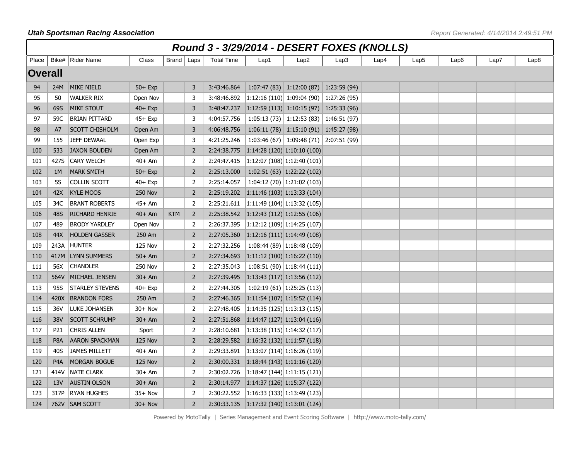|                | Round 3 - 3/29/2014 - DESERT FOXES (KNOLLS) |                        |                |              |                |                   |                                                          |                                         |      |      |      |      |      |                  |
|----------------|---------------------------------------------|------------------------|----------------|--------------|----------------|-------------------|----------------------------------------------------------|-----------------------------------------|------|------|------|------|------|------------------|
| Place          |                                             | Bike#   Rider Name     | Class          | Brand   Laps |                | <b>Total Time</b> | Lap1                                                     | Lap2                                    | Lap3 | Lap4 | Lap5 | Lap6 | Lap7 | Lap <sub>8</sub> |
| <b>Overall</b> |                                             |                        |                |              |                |                   |                                                          |                                         |      |      |      |      |      |                  |
| 94             | 24M                                         | <b>MIKE NIELD</b>      | $50+$ Exp      |              | 3              | 3:43:46.864       |                                                          | $1:07:47(83)$ 1:12:00 (87) 1:23:59 (94) |      |      |      |      |      |                  |
| 95             | 50                                          | <b>WALKER RIX</b>      | Open Nov       |              | 3              | 3:48:46.892       | $\vert 1:12:16(110) \vert 1:09:04(90) \vert 1:27:26(95)$ |                                         |      |      |      |      |      |                  |
| 96             | 69S                                         | <b>MIKE STOUT</b>      | $40+$ Exp      |              | 3              | 3:48:47.237       | $\vert 1:12:59(113) \vert 1:10:15(97) \vert 1:25:33(96)$ |                                         |      |      |      |      |      |                  |
| 97             | 59C                                         | <b>BRIAN PITTARD</b>   | 45+ Exp        |              | 3              | 4:04:57.756       |                                                          | $1:05:13(73)$ 1:12:53 (83) 1:46:51 (97) |      |      |      |      |      |                  |
| 98             | A7                                          | <b>SCOTT CHISHOLM</b>  | Open Am        |              | 3              | 4:06:48.756       |                                                          | $1:06:11(78)$ 1:15:10 (91) 1:45:27 (98) |      |      |      |      |      |                  |
| 99             | 155                                         | <b>JEFF DEWAAL</b>     | Open Exp       |              | 3              | 4:21:25.246       |                                                          | 1:03:46 (67) 1:09:48 (71) 2:07:51 (99)  |      |      |      |      |      |                  |
| 100            | 533                                         | <b>JAXON BOUDEN</b>    | Open Am        |              | $\overline{2}$ | 2:24:38.775       | 1:14:28 (120) 1:10:10 (100)                              |                                         |      |      |      |      |      |                  |
| 101            | 427S                                        | <b>CARY WELCH</b>      | $40+Am$        |              | 2              | 2:24:47.415       | $\vert 1:12:07(108)\vert 1:12:40(101)$                   |                                         |      |      |      |      |      |                  |
| 102            | 1M                                          | <b>MARK SMITH</b>      | $50+$ Exp      |              | $\overline{2}$ | 2:25:13.000       |                                                          | $1:02:51(63)$ 1:22:22 (102)             |      |      |      |      |      |                  |
| 103            | <b>5S</b>                                   | COLLIN SCOTT           | 40+ Exp        |              | $\overline{2}$ | 2:25:14.057       |                                                          | $1:04:12(70)$ 1:21:02 (103)             |      |      |      |      |      |                  |
| 104            | 42X                                         | <b>KYLE MOOS</b>       | <b>250 Nov</b> |              | $\overline{2}$ | 2:25:19.202       | $\vert 1:11:46(103)\vert 1:13:33(104)\vert$              |                                         |      |      |      |      |      |                  |
| 105            | 34C                                         | <b>BRANT ROBERTS</b>   | 45+ Am         |              | $\overline{2}$ | 2:25:21.611       | $\vert 1:11:49(104)\vert 1:13:32(105)$                   |                                         |      |      |      |      |      |                  |
| 106            | 48S                                         | RICHARD HENRIE         | $40+Am$        | <b>KTM</b>   | $\overline{2}$ | 2:25:38.542       | 1:12:43(112) 1:12:55(106)                                |                                         |      |      |      |      |      |                  |
| 107            | 489                                         | <b>BRODY YARDLEY</b>   | Open Nov       |              | 2              | 2:26:37.395       | $\vert 1:12:12(109)\vert 1:14:25(107)$                   |                                         |      |      |      |      |      |                  |
| 108            | 44X                                         | <b>HOLDEN GASSER</b>   | 250 Am         |              | $\overline{2}$ | 2:27:05.360       | $\vert 1:12:16(111) \vert 1:14:49(108) \vert$            |                                         |      |      |      |      |      |                  |
| 109            | 243A                                        | <b>HUNTER</b>          | <b>125 Nov</b> |              | 2              | 2:27:32.256       | $\vert$ 1:08:44 (89) 1:18:48 (109)                       |                                         |      |      |      |      |      |                  |
| 110            | 417M                                        | <b>LYNN SUMMERS</b>    | $50+Am$        |              | $\overline{2}$ | 2:27:34.693       | $\vert 1:11:12(100)\vert 1:16:22(110)\vert$              |                                         |      |      |      |      |      |                  |
| 111            | 56X                                         | <b>CHANDLER</b>        | <b>250 Nov</b> |              | 2              | 2:27:35.043       |                                                          | $1:08:51(90)$ 1:18:44 (111)             |      |      |      |      |      |                  |
| 112            | 564V                                        | MICHAEL JENSEN         | $30+Am$        |              | $\overline{2}$ | 2:27:39.495       | 1:13:43(117) 1:13:56(112)                                |                                         |      |      |      |      |      |                  |
| 113            | 95S                                         | <b>STARLEY STEVENS</b> | $40+$ Exp      |              | 2              | 2:27:44.305       |                                                          | $1:02:19(61)$   1:25:25 (113)           |      |      |      |      |      |                  |
| 114            | 420X                                        | <b>BRANDON FORS</b>    | 250 Am         |              | $\overline{2}$ | 2:27:46.365       | 1:11:54(107)1:15:52(114)                                 |                                         |      |      |      |      |      |                  |
| 115            | 36V                                         | LUKE JOHANSEN          | $30 + Nov$     |              | $\overline{2}$ | 2:27:48.405       | $\vert 1:14:35(125)\vert 1:13:13(115)\vert$              |                                         |      |      |      |      |      |                  |
| 116            | 38V                                         | <b>SCOTT SCHRUMP</b>   | $30+Am$        |              | $\overline{2}$ | 2:27:51.868       | $\left  1:14:47(127) \right  1:13:04(116)$               |                                         |      |      |      |      |      |                  |
| 117            | P21                                         | CHRIS ALLEN            | Sport          |              | 2              | 2:28:10.681       | $\vert 1:13:38(115) \vert 1:14:32(117)$                  |                                         |      |      |      |      |      |                  |
| 118            | P <sub>8</sub> A                            | <b>AARON SPACKMAN</b>  | <b>125 Nov</b> |              | $\overline{2}$ | 2:28:29.582       | $\vert 1:16:32(132)\vert 1:11:57(118)\vert$              |                                         |      |      |      |      |      |                  |
| 119            | 40S                                         | <b>JAMES MILLETT</b>   | $40+Am$        |              | $\overline{2}$ | 2:29:33.891       | $\vert 1:13:07(114)\vert 1:16:26(119)\vert$              |                                         |      |      |      |      |      |                  |
| 120            | P <sub>4</sub> A                            | <b>MORGAN BOGUE</b>    | <b>125 Nov</b> |              | $\overline{2}$ | 2:30:00.331       | $\vert 1:18:44(143) \vert 1:11:16(120) \vert$            |                                         |      |      |      |      |      |                  |
| 121            | 414V                                        | <b>NATE CLARK</b>      | $30+Am$        |              | 2              | 2:30:02.726       | $\vert 1:18:47(144)\vert 1:11:15(121)$                   |                                         |      |      |      |      |      |                  |
| 122            | 13V                                         | <b>AUSTIN OLSON</b>    | $30+Am$        |              | $\overline{2}$ | 2:30:14.977       | 1:14:37(126) 1:15:37(122)                                |                                         |      |      |      |      |      |                  |
| 123            | 317P                                        | <b>RYAN HUGHES</b>     | $35+$ Nov      |              | 2              | 2:30:22.552       | $\vert 1:16:33(133)\vert 1:13:49(123)$                   |                                         |      |      |      |      |      |                  |
| 124            |                                             | 762V SAM SCOTT         | $30 + Nov$     |              | $\overline{2}$ |                   |                                                          |                                         |      |      |      |      |      |                  |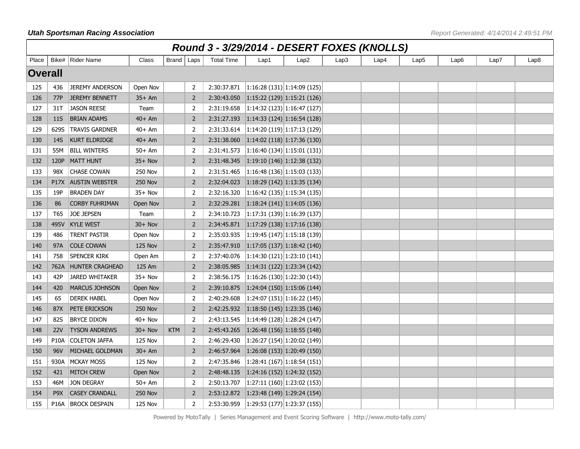|                | Round 3 - 3/29/2014 - DESERT FOXES (KNOLLS) |                        |                |              |                |                   |                                                       |                                                     |      |      |                  |                  |      |      |
|----------------|---------------------------------------------|------------------------|----------------|--------------|----------------|-------------------|-------------------------------------------------------|-----------------------------------------------------|------|------|------------------|------------------|------|------|
| Place          |                                             | Bike#   Rider Name     | Class          | Brand   Laps |                | <b>Total Time</b> | Lap1                                                  | Lap2                                                | Lap3 | Lap4 | Lap <sub>5</sub> | Lap <sub>6</sub> | Lap7 | Lap8 |
| <b>Overall</b> |                                             |                        |                |              |                |                   |                                                       |                                                     |      |      |                  |                  |      |      |
| 125            | 436                                         | <b>JEREMY ANDERSON</b> | Open Nov       |              | 2              | 2:30:37.871       | $\vert 1:16:28(131)\vert 1:14:09(125)\vert$           |                                                     |      |      |                  |                  |      |      |
| 126            | 77P                                         | <b>JEREMY BENNETT</b>  | $35+Am$        |              | $\overline{2}$ | 2:30:43.050       | $\vert 1:15:22(129) \vert 1:15:21(126) \vert$         |                                                     |      |      |                  |                  |      |      |
| 127            | 31T                                         | <b>JASON REESE</b>     | Team           |              | $\overline{2}$ | 2:31:19.658       | $\left  \frac{1:14:32}{2}\right $ (123) 1:16:47 (127) |                                                     |      |      |                  |                  |      |      |
| 128            | 11S                                         | <b>BRIAN ADAMS</b>     | $40+Am$        |              | $\overline{2}$ | 2:31:27.193       | 1:14:33(124)1:16:54(128)                              |                                                     |      |      |                  |                  |      |      |
| 129            | 629S                                        | <b>TRAVIS GARDNER</b>  | $40+Am$        |              | $\overline{2}$ | 2:31:33.614       | $\left  1:14:20(119) \right  1:17:13(129)$            |                                                     |      |      |                  |                  |      |      |
| 130            | 14S                                         | <b>KURT ELDRIDGE</b>   | $40+Am$        |              | 2              | 2:31:38.060       | $\vert 1:14:02(118)\vert 1:17:36(130)\vert$           |                                                     |      |      |                  |                  |      |      |
| 131            | 55M                                         | <b>BILL WINTERS</b>    | $50+Am$        |              | $\overline{2}$ | 2:31:41.573       |                                                       | 1:16:40(134) 1:15:01(131)                           |      |      |                  |                  |      |      |
| 132            | 120P                                        | MATT HUNT              | $35+$ Nov      |              | $\overline{2}$ | 2:31:48.345       | $\vert 1:19:10(146) \vert 1:12:38(132) \vert$         |                                                     |      |      |                  |                  |      |      |
| 133            | 98X                                         | <b>CHASE COWAN</b>     | <b>250 Nov</b> |              | $\overline{2}$ | 2:31:51.465       | $\left  1:16:48(136) \right  1:15:03(133)$            |                                                     |      |      |                  |                  |      |      |
| 134            | <b>P17X</b>                                 | <b>AUSTIN WEBSTER</b>  | <b>250 Nov</b> |              | $\overline{2}$ | 2:32:04.023       | $\vert 1:18:29(142)\vert 1:13:35(134)\vert$           |                                                     |      |      |                  |                  |      |      |
| 135            | 19P                                         | <b>BRADEN DAY</b>      | $35+$ Nov      |              | 2              | 2:32:16.320       |                                                       | 1:16:42(135) 1:15:34(135)                           |      |      |                  |                  |      |      |
| 136            | 86                                          | <b>CORBY FUHRIMAN</b>  | Open Nov       |              | $\overline{2}$ | 2:32:29.281       | $\vert 1:18:24(141) \vert 1:14:05(136) \vert$         |                                                     |      |      |                  |                  |      |      |
| 137            | T65                                         | <b>JOE JEPSEN</b>      | Team           |              | 2              | 2:34:10.723       |                                                       | 1:17:31(139) 1:16:39(137)                           |      |      |                  |                  |      |      |
| 138            | 495V                                        | <b>KYLE WEST</b>       | $30 + Nov$     |              | $\overline{2}$ | 2:34:45.871       | $\vert 1:17:29(138)\vert 1:17:16(138)\vert$           |                                                     |      |      |                  |                  |      |      |
| 139            | 486                                         | TRENT PASTIR           | Open Nov       |              | $\overline{2}$ | 2:35:03.935       | $\left  1:19:45(147) \right  1:15:18(139)$            |                                                     |      |      |                  |                  |      |      |
| 140            | 97A                                         | <b>COLE COWAN</b>      | <b>125 Nov</b> |              | $\overline{2}$ | 2:35:47.910       | $\vert 1:17:05(137)\vert 1:18:42(140)\vert$           |                                                     |      |      |                  |                  |      |      |
| 141            | 758                                         | SPENCER KIRK           | Open Am        |              | $\overline{2}$ | 2:37:40.076       |                                                       | 1:14:30(121) 1:23:10(141)                           |      |      |                  |                  |      |      |
| 142            | 762A                                        | <b>HUNTER CRAGHEAD</b> | 125 Am         |              | $\overline{2}$ | 2:38:05.985       | 1:14:31(122) 1:23:34(142)                             |                                                     |      |      |                  |                  |      |      |
| 143            | 42P                                         | <b>JARED WHITAKER</b>  | $35+$ Nov      |              | $\overline{2}$ | 2:38:56.175       | 1:16:26(130) 1:22:30(143)                             |                                                     |      |      |                  |                  |      |      |
| 144            | 420                                         | <b>MARCUS JOHNSON</b>  | Open Nov       |              | $\overline{2}$ | 2:39:10.875       | $\vert 1:24:04(150)\vert 1:15:06(144)\vert$           |                                                     |      |      |                  |                  |      |      |
| 145            | 65                                          | <b>DEREK HABEL</b>     | Open Nov       |              | $\overline{2}$ | 2:40:29.608       |                                                       | $\left  \frac{1:24:07}{1.51} \right $ 1:16:22 (145) |      |      |                  |                  |      |      |
| 146            | 87X                                         | PETE ERICKSON          | <b>250 Nov</b> |              | $\overline{2}$ | 2:42:25.932       | $\vert 1:18:50(145) \vert 1:23:35(146) \vert$         |                                                     |      |      |                  |                  |      |      |
| 147            | 82S                                         | <b>BRYCE DIXON</b>     | $40+$ Nov      |              | 2              | 2:43:13.545       | $\vert 1:14:49(128)\vert 1:28:24(147)$                |                                                     |      |      |                  |                  |      |      |
| 148            | <b>22V</b>                                  | <b>TYSON ANDREWS</b>   | $30 + Nov$     | <b>KTM</b>   | $\overline{2}$ | 2:45:43.265       | 1:26:48(156)1:18:55(148)                              |                                                     |      |      |                  |                  |      |      |
| 149            | <b>P10A</b>                                 | <b>COLETON JAFFA</b>   | <b>125 Nov</b> |              | 2              | 2:46:29.430       |                                                       | 1:26:27(154) 1:20:02(149)                           |      |      |                  |                  |      |      |
| 150            | 96V                                         | MICHAEL GOLDMAN        | $30+Am$        |              | $\overline{2}$ | 2:46:57.964       | 1:26:08 (153) 1:20:49 (150)                           |                                                     |      |      |                  |                  |      |      |
| 151            | 930A                                        | <b>MCKAY MOSS</b>      | <b>125 Nov</b> |              | 2              | 2:47:35.846       |                                                       | $\left  \frac{1:28:41}{1:67} \right $ 1:18:54 (151) |      |      |                  |                  |      |      |
| 152            | 421                                         | <b>MITCH CREW</b>      | Open Nov       |              | $\overline{2}$ | 2:48:48.135       | $\vert$ 1:24:16 (152) 1:24:32 (152)                   |                                                     |      |      |                  |                  |      |      |
| 153            | 46M                                         | <b>JON DEGRAY</b>      | $50+Am$        |              | $\overline{2}$ | 2:50:13.707       |                                                       | 1:27:11(160) 1:23:02(153)                           |      |      |                  |                  |      |      |
| 154            | P <sub>9</sub> X                            | <b>CASEY CRANDALL</b>  | <b>250 Nov</b> |              | $\overline{2}$ | 2:53:12.872       | 1:23:48(149)1:29:24(154)                              |                                                     |      |      |                  |                  |      |      |
| 155            | <b>P16A</b>                                 | <b>BROCK DESPAIN</b>   | <b>125 Nov</b> |              | $\overline{2}$ | 2:53:30.959       | 1:29:53(177) 1:23:37(155)                             |                                                     |      |      |                  |                  |      |      |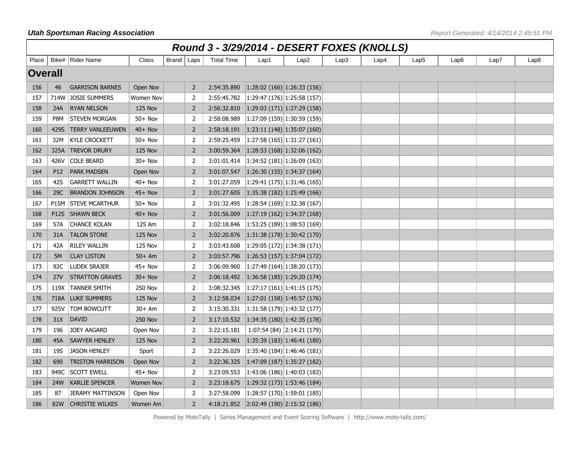|                | Round 3 - 3/29/2014 - DESERT FOXES (KNOLLS) |                         |                  |              |                |                   |                                                       |                             |      |      |      |      |      |                  |
|----------------|---------------------------------------------|-------------------------|------------------|--------------|----------------|-------------------|-------------------------------------------------------|-----------------------------|------|------|------|------|------|------------------|
| Place          |                                             | Bike#   Rider Name      | Class            | Brand   Laps |                | <b>Total Time</b> | Lap1                                                  | Lap2                        | Lap3 | Lap4 | Lap5 | Lap6 | Lap7 | Lap <sub>8</sub> |
| <b>Overall</b> |                                             |                         |                  |              |                |                   |                                                       |                             |      |      |      |      |      |                  |
| 156            | 46                                          | <b>GARRISON BARNES</b>  | Open Nov         |              | 2              | 2:54:35.890       | $\vert 1:28:02 \ (166) \ 1:26:33 \ (156)$             |                             |      |      |      |      |      |                  |
| 157            | 714W                                        | <b>JOSIE SUMMERS</b>    | Women Nov        |              | $\overline{2}$ | 2:55:45.782       | $\left  \frac{1:29:47}{1:26} \right $ 1:25:58 (157)   |                             |      |      |      |      |      |                  |
| 158            | 24A                                         | <b>RYAN NELSON</b>      | <b>125 Nov</b>   |              | $\overline{2}$ | 2:56:32.810       | $\vert 1:29:03(171) \vert 1:27:29(158) \vert$         |                             |      |      |      |      |      |                  |
| 159            | P8M                                         | STEVEN MORGAN           | $50+$ Nov        |              | 2              | 2:58:08.989       | $\left  1:27:09(159) \right  1:30:59(159)$            |                             |      |      |      |      |      |                  |
| 160            | 429S                                        | <b>TERRY VANLEEUWEN</b> | $40+$ Nov        |              | 2              | 2:58:18.191       | $\vert 1:23:11(148)\vert 1:35:07(160)\vert$           |                             |      |      |      |      |      |                  |
| 161            | 32M                                         | <b>KYLE CROCKETT</b>    | $50+$ Nov        |              | 2              | 2:59:25.459       | 1:27:58(165) 1:31:27(161)                             |                             |      |      |      |      |      |                  |
| 162            | 325A                                        | <b>TREVOR DRURY</b>     | <b>125 Nov</b>   |              | $\overline{2}$ | 3:00:59.364       | 1:28:53(168) 1:32:06(162)                             |                             |      |      |      |      |      |                  |
| 163            | 426V                                        | <b>COLE BEARD</b>       | $30 + Nov$       |              | 2              | 3:01:01.414       | $\vert 1:34:52(181) \vert 1:26:09(163)$               |                             |      |      |      |      |      |                  |
| 164            | P <sub>12</sub>                             | <b>PARK MADSEN</b>      | Open Nov         |              | $\overline{2}$ | 3:01:07.547       | 1:26:30(155) 1:34:37(164)                             |                             |      |      |      |      |      |                  |
| 165            | 42S                                         | <b>GARRETT WALLIN</b>   | $40+$ Nov        |              | 2              | 3:01:27.059       | $\left  \frac{1:29:41}{1:75} \right $ 1:31:46 (165)   |                             |      |      |      |      |      |                  |
| 166            | 29C                                         | <b>BRANDON JOHNSON</b>  | $45+$ Nov        |              | $\overline{2}$ | 3:01:27.605       | $\vert$ 1:35:38 (182) 1:25:49 (166)                   |                             |      |      |      |      |      |                  |
| 167            | <b>P15M</b>                                 | <b>STEVE MCARTHUR</b>   | $50+$ Nov        |              | $\overline{2}$ | 3:01:32.495       | (1:28:54(169)1:32:38(167))                            |                             |      |      |      |      |      |                  |
| 168            | <b>P12S</b>                                 | <b>SHAWN BECK</b>       | $40+$ Nov        |              | $\overline{2}$ | 3:01:56.009       | $\vert 1:27:19(162)\vert 1:34:37(168)\vert$           |                             |      |      |      |      |      |                  |
| 169            | 57A                                         | <b>CHANCE KOLAN</b>     | 125 Am           |              | 2              | 3:02:18.846       | 1:53:25(189) 1:08:53(169)                             |                             |      |      |      |      |      |                  |
| 170            | 31A                                         | <b>TALON STONE</b>      | <b>125 Nov</b>   |              | $\overline{2}$ | 3:02:20.876       | $\vert 1:31:38(178)\vert 1:30:42(170)\vert$           |                             |      |      |      |      |      |                  |
| 171            | 42A                                         | <b>RILEY WALLIN</b>     | <b>125 Nov</b>   |              | $\overline{2}$ | 3:03:43.608       | $\left  \frac{1:29:05}{1:22} \right $ 1:34:38 (171)   |                             |      |      |      |      |      |                  |
| 172            | 5M                                          | <b>CLAY LISTON</b>      | $50+Am$          |              | $\overline{2}$ | 3:03:57.796       | $\vert$ 1:26:53 (157) 1:37:04 (172)                   |                             |      |      |      |      |      |                  |
| 173            | 92C                                         | <b>LUDEK SRAJER</b>     | 45+ Nov          |              | 2              | 3:06:09.960       | 1:27:49(164) 1:38:20(173)                             |                             |      |      |      |      |      |                  |
| 174            | 27V                                         | <b>STRATTON GRAVES</b>  | $30 + Nov$       |              | $\overline{2}$ | 3:06:18.492       | $\vert 1:36:58(185) \vert 1:29:20(174) \vert$         |                             |      |      |      |      |      |                  |
| 175            | 119X                                        | <b>TANNER SMITH</b>     | <b>250 Nov</b>   |              | 2              | 3:08:32.345       |                                                       | 1:27:17(161) 1:41:15(175)   |      |      |      |      |      |                  |
| 176            | 718A                                        | <b>LUKE SUMMERS</b>     | <b>125 Nov</b>   |              | $\overline{2}$ | 3:12:58.034       | $\vert 1:27:01 \; (158) \vert 1:45:57 \; (176) \vert$ |                             |      |      |      |      |      |                  |
| 177            | 925V                                        | <b>TOM BOWCUTT</b>      | $30+Am$          |              | 2              | 3:15:30.331       | $\vert 1:31:58(179) \vert 1:43:32(177)$               |                             |      |      |      |      |      |                  |
| 178            | 31X                                         | <b>DAVID</b>            | <b>250 Nov</b>   |              | $\overline{2}$ | 3:17:10.532       | $\vert 1:34:35(180) \vert 1:42:35(178) \vert$         |                             |      |      |      |      |      |                  |
| 179            | 196                                         | <b>JOEY AAGARD</b>      | Open Nov         |              | 2              | 3:22:15.181       |                                                       | $1:07:54(84)$ 2:14:21 (179) |      |      |      |      |      |                  |
| 180            | 45A                                         | <b>SAWYER HENLEY</b>    | <b>125 Nov</b>   |              | 2              | 3:22:20.961       | $\vert 1:35:39(183) \vert 1:46:41(180)$               |                             |      |      |      |      |      |                  |
| 181            | 19S                                         | <b>JASON HENLEY</b>     | Sport            |              | $\overline{2}$ | 3:22:26.029       | $\left  1:35:40(184) \right  1:46:46(181)$            |                             |      |      |      |      |      |                  |
| 182            | 690                                         | <b>TRISTON HARRISON</b> | Open Nov         |              | $\overline{2}$ | 3:22:36.325       | $\vert 1:47:09(187) \vert 1:35:27(182)$               |                             |      |      |      |      |      |                  |
| 183            | 949C                                        | <b>SCOTT EWELL</b>      | $45+$ Nov        |              | 2              | 3:23:09.553       | $\left 1:43:06(186)\right 1:40:03(183)$               |                             |      |      |      |      |      |                  |
| 184            | 24W                                         | <b>KARLIE SPENCER</b>   | <b>Women Nov</b> |              | $\overline{2}$ | 3:23:18.675       | $\vert$ 1:29:32 (173) 1:53:46 (184)                   |                             |      |      |      |      |      |                  |
| 185            | 87                                          | <b>JERAMY MATTINSON</b> | Open Nov         |              | 2              | 3:27:58.099       | $\left 1:28:57(170)\right 1:59:01(185)$               |                             |      |      |      |      |      |                  |
| 186            | 82W                                         | <b>CHRISTIE WILKES</b>  | Women Am         |              | $\overline{2}$ |                   | 4:18:21.852 2:02:49 (190) 2:15:32 (186)               |                             |      |      |      |      |      |                  |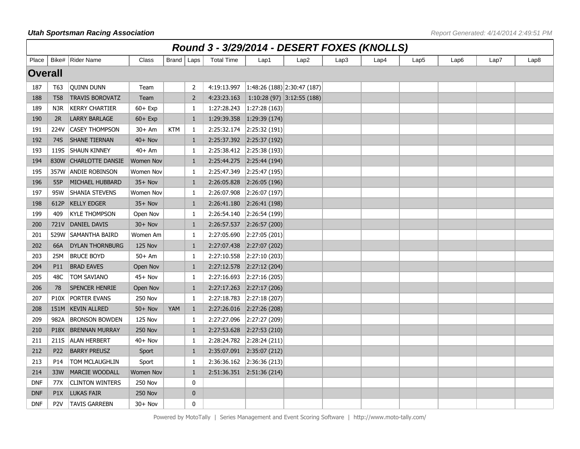|                | Round 3 - 3/29/2014 - DESERT FOXES (KNOLLS)<br>Brand   Laps |                         |                  |            |                |                   |                                        |                  |      |      |      |      |      |      |
|----------------|-------------------------------------------------------------|-------------------------|------------------|------------|----------------|-------------------|----------------------------------------|------------------|------|------|------|------|------|------|
| Place          |                                                             | Bike#   Rider Name      | Class            |            |                | <b>Total Time</b> | Lap1                                   | Lap <sub>2</sub> | Lap3 | Lap4 | Lap5 | Lap6 | Lap7 | Lap8 |
| <b>Overall</b> |                                                             |                         |                  |            |                |                   |                                        |                  |      |      |      |      |      |      |
| 187            | T63                                                         | <b>QUINN DUNN</b>       | Team             |            | 2              | 4:19:13.997       | $\vert 1:48:26(188)\vert 2:30:47(187)$ |                  |      |      |      |      |      |      |
| 188            | <b>T58</b>                                                  | <b>TRAVIS BOROVATZ</b>  | Team             |            | $\overline{2}$ | 4:23:23.163       | 1:10:28 (97)   3:12:55 (188)           |                  |      |      |      |      |      |      |
| 189            | N3R                                                         | <b>KERRY CHARTIER</b>   | $60 + Exp$       |            | $\mathbf{1}$   | 1:27:28.243       | 1:27:28(163)                           |                  |      |      |      |      |      |      |
| 190            | 2R                                                          | LARRY BARLAGE           | $60 + Exp$       |            | $\mathbf{1}$   | 1:29:39.358       | 1:29:39(174)                           |                  |      |      |      |      |      |      |
| 191            | 224V                                                        | <b>CASEY THOMPSON</b>   | $30+Am$          | <b>KTM</b> | $\mathbf{1}$   | 2:25:32.174       | 2:25:32(191)                           |                  |      |      |      |      |      |      |
| 192            | 74S                                                         | <b>SHANE TIERNAN</b>    | $40+$ Nov        |            | 1              |                   | 2:25:37.392 2:25:37 (192)              |                  |      |      |      |      |      |      |
| 193            | 119S                                                        | <b>SHAUN KINNEY</b>     | $40+Am$          |            | 1              | 2:25:38.412       | 2:25:38(193)                           |                  |      |      |      |      |      |      |
| 194            | 830W                                                        | <b>CHARLOTTE DANSIE</b> | <b>Women Nov</b> |            | $\mathbf{1}$   | 2:25:44.275       | 2:25:44(194)                           |                  |      |      |      |      |      |      |
| 195            | 357W                                                        | <b>ANDIE ROBINSON</b>   | Women Nov        |            | 1              | 2:25:47.349       | 2:25:47(195)                           |                  |      |      |      |      |      |      |
| 196            | 55P                                                         | MICHAEL HUBBARD         | $35+$ Nov        |            | $\mathbf{1}$   | 2:26:05.828       | 2:26:05(196)                           |                  |      |      |      |      |      |      |
| 197            | 95W                                                         | SHANIA STEVENS          | Women Nov        |            | 1              | 2:26:07.908       | 2:26:07(197)                           |                  |      |      |      |      |      |      |
| 198            | 612P                                                        | <b>KELLY EDGER</b>      | $35+$ Nov        |            | 1              | 2:26:41.180       | 2:26:41(198)                           |                  |      |      |      |      |      |      |
| 199            | 409                                                         | <b>KYLE THOMPSON</b>    | Open Nov         |            | -1             | 2:26:54.140       | 2:26:54(199)                           |                  |      |      |      |      |      |      |
| 200            | 721V                                                        | DANIEL DAVIS            | $30 + Nov$       |            | 1              | 2:26:57.537       | 2:26:57(200)                           |                  |      |      |      |      |      |      |
| 201            | 529W                                                        | SAMANTHA BAIRD          | Women Am         |            | 1              | 2:27:05.690       | 2:27:05(201)                           |                  |      |      |      |      |      |      |
| 202            | 66A                                                         | <b>DYLAN THORNBURG</b>  | <b>125 Nov</b>   |            | 1              | 2:27:07.438       | 2:27:07(202)                           |                  |      |      |      |      |      |      |
| 203            | 25M                                                         | <b>BRUCE BOYD</b>       | $50+Am$          |            | -1             | 2:27:10.558       | 2:27:10(203)                           |                  |      |      |      |      |      |      |
| 204            | P11                                                         | <b>BRAD EAVES</b>       | Open Nov         |            | 1              | 2:27:12.578       | 2:27:12(204)                           |                  |      |      |      |      |      |      |
| 205            | 48C                                                         | TOM SAVIANO             | $45+$ Nov        |            | $\mathbf{1}$   | 2:27:16.693       | 2:27:16(205)                           |                  |      |      |      |      |      |      |
| 206            | 78                                                          | <b>SPENCER HENRIE</b>   | Open Nov         |            | $\mathbf{1}$   | 2:27:17.263       | 2:27:17(206)                           |                  |      |      |      |      |      |      |
| 207            | <b>P10X</b>                                                 | PORTER EVANS            | <b>250 Nov</b>   |            | $\mathbf{1}$   | 2:27:18.783       | 2:27:18(207)                           |                  |      |      |      |      |      |      |
| 208            |                                                             | 151M KEVIN ALLRED       | $50+$ Nov        | YAM        | $\mathbf{1}$   | 2:27:26.016       | 2:27:26(208)                           |                  |      |      |      |      |      |      |
| 209            | 982A                                                        | <b>BRONSON BOWDEN</b>   | <b>125 Nov</b>   |            | 1              | 2:27:27.096       | 2:27:27(209)                           |                  |      |      |      |      |      |      |
| 210            | <b>P18X</b>                                                 | <b>BRENNAN MURRAY</b>   | <b>250 Nov</b>   |            | 1              | 2:27:53.628       | 2:27:53(210)                           |                  |      |      |      |      |      |      |
| 211            | 211S                                                        | <b>ALAN HERBERT</b>     | 40+ Nov          |            | -1             | 2:28:24.782       | 2:28:24(211)                           |                  |      |      |      |      |      |      |
| 212            | P <sub>22</sub>                                             | <b>BARRY PREUSZ</b>     | Sport            |            | 1              |                   | 2:35:07.091 2:35:07 (212)              |                  |      |      |      |      |      |      |
| 213            | P14                                                         | TOM MCLAUGHLIN          | Sport            |            | $\mathbf{1}$   | 2:36:36.162       | 2:36:36(213)                           |                  |      |      |      |      |      |      |
| 214            | 33W                                                         | <b>MARCIE WOODALL</b>   | <b>Women Nov</b> |            | 1              |                   | 2:51:36.351 2:51:36 (214)              |                  |      |      |      |      |      |      |
| <b>DNF</b>     | 77X                                                         | <b>CLINTON WINTERS</b>  | <b>250 Nov</b>   |            | 0              |                   |                                        |                  |      |      |      |      |      |      |
| <b>DNF</b>     | P <sub>1</sub> X                                            | <b>LUKAS FAIR</b>       | <b>250 Nov</b>   |            | $\bf{0}$       |                   |                                        |                  |      |      |      |      |      |      |
| <b>DNF</b>     | P <sub>2</sub> V                                            | <b>TAVIS GARREBN</b>    | 30+ Nov          |            | 0              |                   |                                        |                  |      |      |      |      |      |      |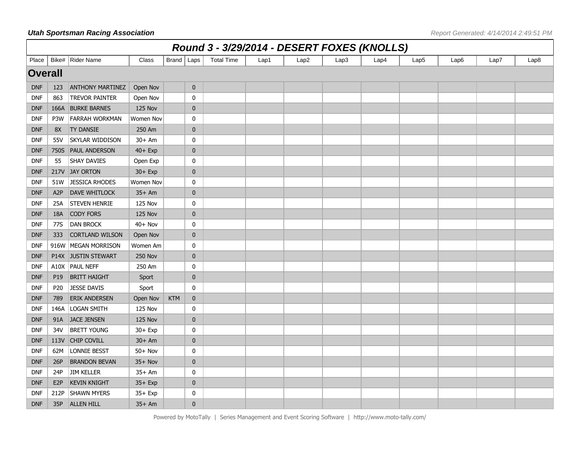|                | Round 3 - 3/29/2014 - DESERT FOXES (KNOLLS)<br>Brand   Laps |                         |                  |            |                  |                   |      |                  |      |      |                  |      |      |      |
|----------------|-------------------------------------------------------------|-------------------------|------------------|------------|------------------|-------------------|------|------------------|------|------|------------------|------|------|------|
| Place          |                                                             | Bike# Rider Name        | Class            |            |                  | <b>Total Time</b> | Lap1 | Lap <sub>2</sub> | Lap3 | Lap4 | Lap <sub>5</sub> | Lap6 | Lap7 | Lap8 |
| <b>Overall</b> |                                                             |                         |                  |            |                  |                   |      |                  |      |      |                  |      |      |      |
| <b>DNF</b>     | 123                                                         | <b>ANTHONY MARTINEZ</b> | Open Nov         |            | $\bf{0}$         |                   |      |                  |      |      |                  |      |      |      |
| <b>DNF</b>     | 863                                                         | <b>TREVOR PAINTER</b>   | Open Nov         |            | $\mathbf 0$      |                   |      |                  |      |      |                  |      |      |      |
| <b>DNF</b>     | 166A                                                        | <b>BURKE BARNES</b>     | 125 Nov          |            | $\boldsymbol{0}$ |                   |      |                  |      |      |                  |      |      |      |
| <b>DNF</b>     | P <sub>3</sub> W                                            | <b>FARRAH WORKMAN</b>   | Women Nov        |            | 0                |                   |      |                  |      |      |                  |      |      |      |
| <b>DNF</b>     | 8X                                                          | <b>TY DANSIE</b>        | 250 Am           |            | $\boldsymbol{0}$ |                   |      |                  |      |      |                  |      |      |      |
| <b>DNF</b>     | 55V                                                         | <b>SKYLAR WIDDISON</b>  | $30+Am$          |            | $\mathbf 0$      |                   |      |                  |      |      |                  |      |      |      |
| <b>DNF</b>     | 750S                                                        | <b>PAUL ANDERSON</b>    | $40+$ Exp        |            | $\mathbf{0}$     |                   |      |                  |      |      |                  |      |      |      |
| <b>DNF</b>     | 55                                                          | <b>SHAY DAVIES</b>      | Open Exp         |            | $\mathbf 0$      |                   |      |                  |      |      |                  |      |      |      |
| <b>DNF</b>     | 217V                                                        | <b>JAY ORTON</b>        | $30 + Exp$       |            | $\mathbf{0}$     |                   |      |                  |      |      |                  |      |      |      |
| <b>DNF</b>     | 51W                                                         | JESSICA RHODES          | <b>Women Nov</b> |            | 0                |                   |      |                  |      |      |                  |      |      |      |
| <b>DNF</b>     | A <sub>2</sub> P                                            | DAVE WHITLOCK           | $35+Am$          |            | $\mathbf{0}$     |                   |      |                  |      |      |                  |      |      |      |
| <b>DNF</b>     | 25A                                                         | <b>STEVEN HENRIE</b>    | <b>125 Nov</b>   |            | 0                |                   |      |                  |      |      |                  |      |      |      |
| <b>DNF</b>     | 18A                                                         | <b>CODY FORS</b>        | <b>125 Nov</b>   |            | $\mathbf{0}$     |                   |      |                  |      |      |                  |      |      |      |
| <b>DNF</b>     | 77S                                                         | <b>DAN BROCK</b>        | $40+$ Nov        |            | $\mathbf 0$      |                   |      |                  |      |      |                  |      |      |      |
| <b>DNF</b>     | 333                                                         | <b>CORTLAND WILSON</b>  | Open Nov         |            | $\mathbf{0}$     |                   |      |                  |      |      |                  |      |      |      |
| <b>DNF</b>     | 916W                                                        | MEGAN MORRISON          | Women Am         |            | $\mathbf 0$      |                   |      |                  |      |      |                  |      |      |      |
| <b>DNF</b>     | <b>P14X</b>                                                 | <b>JUSTIN STEWART</b>   | <b>250 Nov</b>   |            | $\boldsymbol{0}$ |                   |      |                  |      |      |                  |      |      |      |
| <b>DNF</b>     | A10X                                                        | <b>PAUL NEFF</b>        | 250 Am           |            | $\mathbf 0$      |                   |      |                  |      |      |                  |      |      |      |
| <b>DNF</b>     | P <sub>19</sub>                                             | <b>BRITT HAIGHT</b>     | Sport            |            | $\boldsymbol{0}$ |                   |      |                  |      |      |                  |      |      |      |
| <b>DNF</b>     | P <sub>20</sub>                                             | <b>JESSE DAVIS</b>      | Sport            |            | $\mathbf 0$      |                   |      |                  |      |      |                  |      |      |      |
| <b>DNF</b>     | 789                                                         | ERIK ANDERSEN           | Open Nov         | <b>KTM</b> | $\mathbf{0}$     |                   |      |                  |      |      |                  |      |      |      |
| <b>DNF</b>     | 146A                                                        | LOGAN SMITH             | <b>125 Nov</b>   |            | $\mathbf 0$      |                   |      |                  |      |      |                  |      |      |      |
| <b>DNF</b>     | 91A                                                         | <b>JACE JENSEN</b>      | <b>125 Nov</b>   |            | $\mathbf{0}$     |                   |      |                  |      |      |                  |      |      |      |
| <b>DNF</b>     | 34V                                                         | <b>BRETT YOUNG</b>      | $30 + Exp$       |            | 0                |                   |      |                  |      |      |                  |      |      |      |
| <b>DNF</b>     | 113V                                                        | <b>CHIP COVILL</b>      | $30+Am$          |            | $\mathbf 0$      |                   |      |                  |      |      |                  |      |      |      |
| <b>DNF</b>     | 62M                                                         | LONNIE BESST            | $50+$ Nov        |            | $\mathbf 0$      |                   |      |                  |      |      |                  |      |      |      |
| <b>DNF</b>     | 26P                                                         | <b>BRANDON BEVAN</b>    | $35+$ Nov        |            | $\boldsymbol{0}$ |                   |      |                  |      |      |                  |      |      |      |
| <b>DNF</b>     | 24P                                                         | <b>JIM KELLER</b>       | $35+Am$          |            | $\mathbf 0$      |                   |      |                  |      |      |                  |      |      |      |
| <b>DNF</b>     | E <sub>2</sub> P                                            | <b>KEVIN KNIGHT</b>     | $35+$ Exp        |            | $\mathbf{0}$     |                   |      |                  |      |      |                  |      |      |      |
| <b>DNF</b>     | 212P                                                        | <b>SHAWN MYERS</b>      | $35+$ Exp        |            | 0                |                   |      |                  |      |      |                  |      |      |      |
| <b>DNF</b>     | 35P                                                         | <b>ALLEN HILL</b>       | $35+Am$          |            | $\mathbf{0}$     |                   |      |                  |      |      |                  |      |      |      |